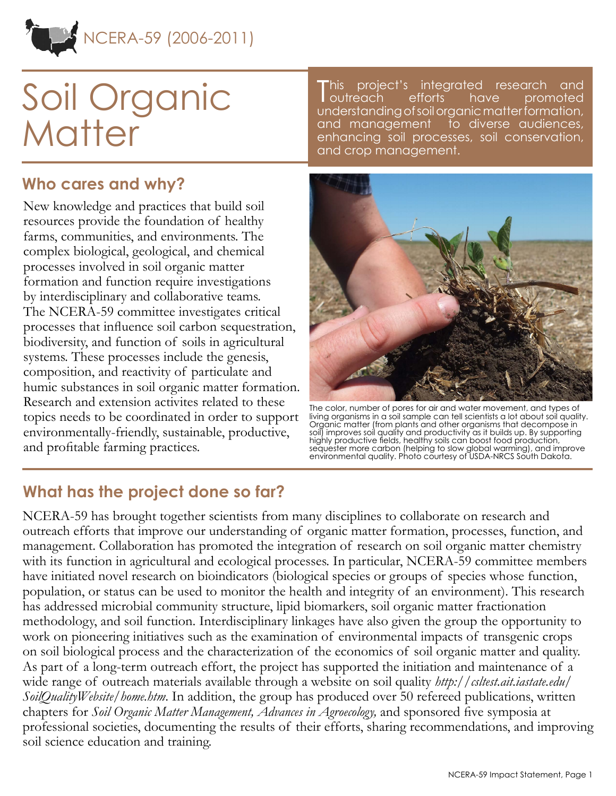

# Soil Organic **Matter**

#### **Who cares and why?**

New knowledge and practices that build soil resources provide the foundation of healthy farms, communities, and environments. The complex biological, geological, and chemical processes involved in soil organic matter formation and function require investigations by interdisciplinary and collaborative teams. The NCERA-59 committee investigates critical processes that influence soil carbon sequestration, biodiversity, and function of soils in agricultural systems. These processes include the genesis, composition, and reactivity of particulate and humic substances in soil organic matter formation. Research and extension activites related to these topics needs to be coordinated in order to support environmentally-friendly, sustainable, productive, and profitable farming practices.

T his project's integrated research and outreach efforts have promoted understanding of soil organic matter formation, and management to diverse audiences, enhancing soil processes, soil conservation, and crop management.



The color, number of pores for air and water movement, and types of living organisms in a soil sample can tell scientists a lot about soil quality. Organic matter (from plants and other organisms that decompose in soil) improves soil quality and productivity as it builds up. By supporting highly productive fields, healthy soils can boost food production, sequester more carbon (helping to slow global warming), and improve environmental quality. Photo courtesy of USDA-NRCS South Dakota.

#### **What has the project done so far?**

NCERA-59 has brought together scientists from many disciplines to collaborate on research and outreach efforts that improve our understanding of organic matter formation, processes, function, and management. Collaboration has promoted the integration of research on soil organic matter chemistry with its function in agricultural and ecological processes. In particular, NCERA-59 committee members have initiated novel research on bioindicators (biological species or groups of species whose function, population, or status can be used to monitor the health and integrity of an environment). This research has addressed microbial community structure, lipid biomarkers, soil organic matter fractionation methodology, and soil function. Interdisciplinary linkages have also given the group the opportunity to work on pioneering initiatives such as the examination of environmental impacts of transgenic crops on soil biological process and the characterization of the economics of soil organic matter and quality. As part of a long-term outreach effort, the project has supported the initiation and maintenance of a wide range of outreach materials available through a website on soil quality *[http://csltest.ait.iastate.edu/](http://csltest.ait.iastate.edu/SoilQualityWebsite/home.htm) [SoilQualityWebsite/home.htm](http://csltest.ait.iastate.edu/SoilQualityWebsite/home.htm)*. In addition, the group has produced over 50 refereed publications, written chapters for *Soil Organic Matter Management, Advances in Agroecology,* and sponsored five symposia at professional societies, documenting the results of their efforts, sharing recommendations, and improving soil science education and training.